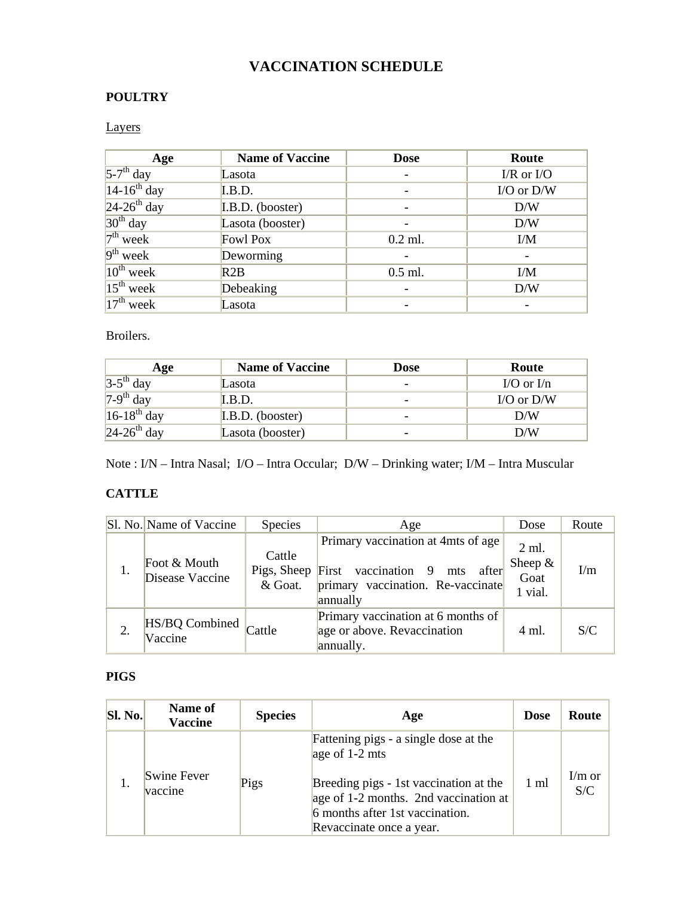# **VACCINATION SCHEDULE**

## **POULTRY**

### Layers

| Age                       | <b>Name of Vaccine</b> | <b>Dose</b> | Route          |
|---------------------------|------------------------|-------------|----------------|
| $5-7$ <sup>th</sup> day   | Lasota                 |             | $I/R$ or $I/O$ |
| $14-16^{th}$ day          | I.B.D.                 |             | I/O or D/W     |
| $24-26$ <sup>th</sup> day | I.B.D. (booster)       |             | D/W            |
| $30th$ day                | Lasota (booster)       |             | D/W            |
| $7th$ week                | <b>Fowl Pox</b>        | $0.2$ ml.   | I/M            |
| $9th$ week                | Deworming              |             |                |
| $10^{th}$ week            | R2B                    | $0.5$ ml.   | I/M            |
| $15th$ week               | Debeaking              |             | D/W            |
| $17th$ week               | Lasota                 |             |                |

#### Broilers.

| Age                       | <b>Name of Vaccine</b> | <b>Dose</b>              | Route        |
|---------------------------|------------------------|--------------------------|--------------|
| $3-5$ <sup>th</sup> day   | Lasota                 | $\overline{\phantom{0}}$ | I/O or $I/n$ |
| $7-9$ <sup>th</sup> day   | I.B.D.                 | -                        | I/O or $D/W$ |
| $16-18^{th}$ day          | I.B.D. (booster)       | $\overline{\phantom{0}}$ | D/W          |
| $24-26$ <sup>th</sup> day | Lasota (booster)       | -                        | D/W          |

Note : I/N – Intra Nasal; I/O – Intra Occular; D/W – Drinking water; I/M – Intra Muscular

#### **CATTLE**

| Sl. No. Name of Vaccine         | Species           | Age                                                                                                                                    | Dose                                  | Route |
|---------------------------------|-------------------|----------------------------------------------------------------------------------------------------------------------------------------|---------------------------------------|-------|
| Foot & Mouth<br>Disease Vaccine | Cattle<br>& Goat. | Primary vaccination at 4mts of age<br>Pigs, Sheep First vaccination 9<br>after<br>mts<br>primary vaccination. Re-vaccinate<br>annually | 2 ml.<br>Sheep $&$<br>Goat<br>1 vial. | I/m   |
| HS/BQ Combined<br>Vaccine       | Cattle            | Primary vaccination at 6 months of<br>age or above. Revaccination<br>annually.                                                         | 4 ml.                                 | S/C   |

## **PIGS**

| <b>Sl. No.</b> | Name of<br><b>Vaccine</b> | <b>Species</b> | Age                                                                                                                                            | <b>Dose</b>    | Route           |
|----------------|---------------------------|----------------|------------------------------------------------------------------------------------------------------------------------------------------------|----------------|-----------------|
|                |                           |                | Fattening pigs - a single dose at the<br>age of $1-2$ mts                                                                                      |                |                 |
|                | Swine Fever<br>vaccine    | Pigs           | Breeding pigs - 1st vaccination at the<br>age of 1-2 months. 2nd vaccination at<br>6 months after 1st vaccination.<br>Revaccinate once a year. | $1 \text{ ml}$ | $I/m$ or<br>S/C |